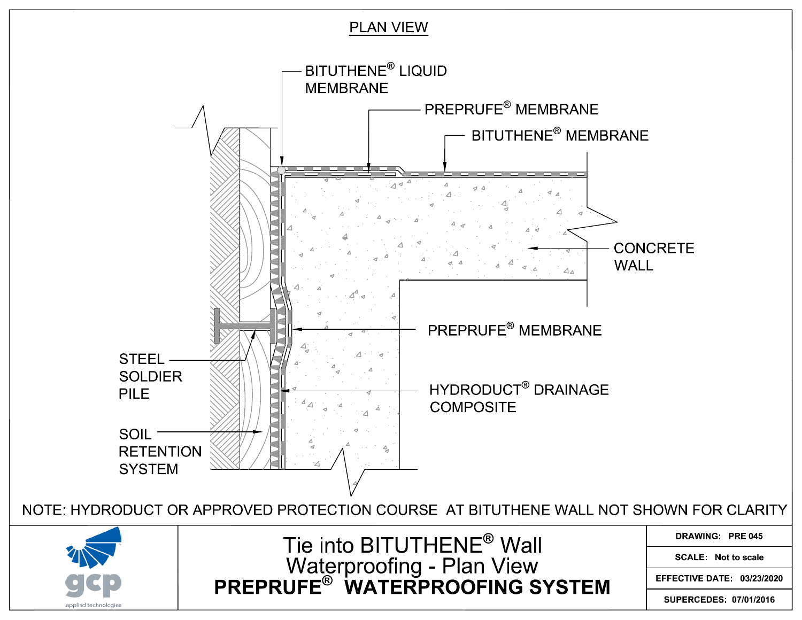